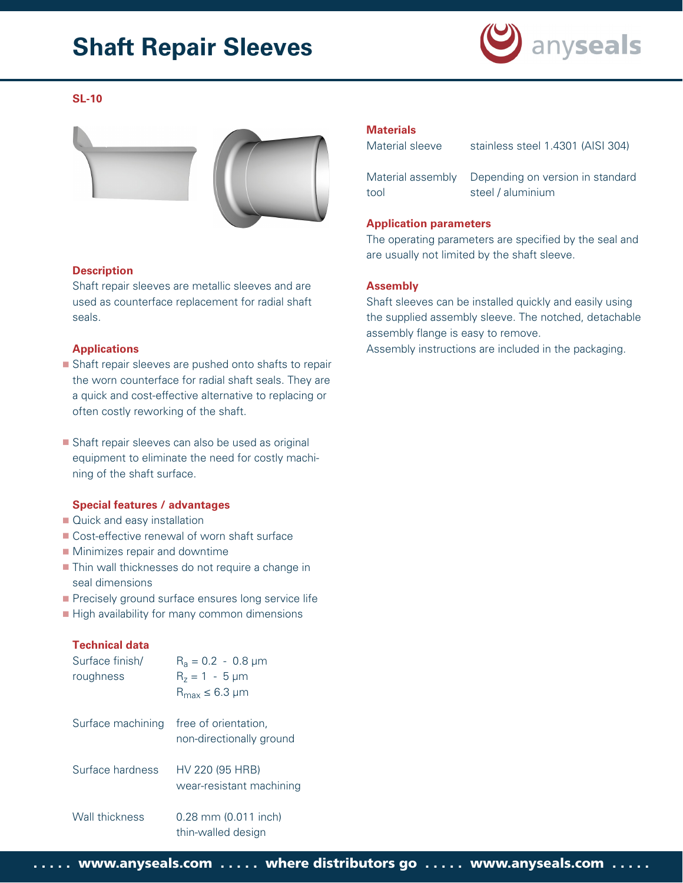# **Shaft Repair Sleeves**



## **SL-10**



#### **Description**

Shaft repair sleeves are metallic sleeves and are used as counterface replacement for radial shaft seals.

#### **Applications**

- Shaft repair sleeves are pushed onto shafts to repair the worn counterface for radial shaft seals. They are a quick and cost-effective alternative to replacing or often costly reworking of the shaft.
- Shaft repair sleeves can also be used as original equipment to eliminate the need for costly machining of the shaft surface.

#### **Special features / advantages**

- Quick and easy installation
- Cost-effective renewal of worn shaft surface
- **Minimizes repair and downtime**
- **Thin wall thicknesses do not require a change in** seal dimensions
- **Precisely ground surface ensures long service life**
- High availability for many common dimensions

## **Technical data**

| Surface finish/<br>roughness | $R_a = 0.2 - 0.8 \mu m$<br>$R_z = 1 - 5 \mu m$<br>$R_{max} \leq 6.3$ µm |
|------------------------------|-------------------------------------------------------------------------|
| Surface machining            | free of orientation,<br>non-directionally ground                        |
| Surface hardness             | HV 220 (95 HRB)<br>wear-resistant machining                             |
| Wall thickness               | $0.28$ mm $(0.011$ inch)<br>thin-walled design                          |

## **Materials**

Material sleeve stainless steel 1.4301 (AISI 304)

Material assembly Depending on version in standard tool steel / aluminium

## **Application parameters**

The operating parameters are specified by the seal and are usually not limited by the shaft sleeve.

## **Assembly**

Shaft sleeves can be installed quickly and easily using the supplied assembly sleeve. The notched, detachable assembly flange is easy to remove.

Assembly instructions are included in the packaging.